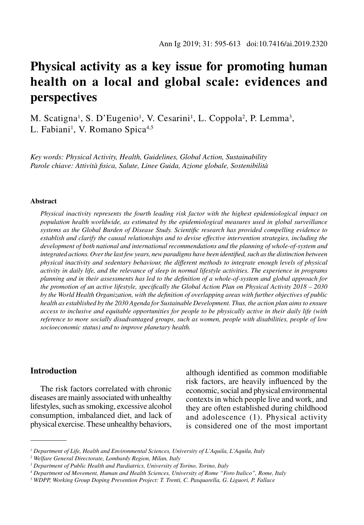# **Physical activity as a key issue for promoting human health on a local and global scale: evidences and perspectives**

M. Scatigna<sup>1</sup>, S. D'Eugenio<sup>1</sup>, V. Cesarini<sup>1</sup>, L. Coppola<sup>2</sup>, P. Lemma<sup>3</sup>, L. Fabiani<sup>1</sup>, V. Romano Spica<sup>4,5</sup>

*Key words: Physical Activity, Health, Guidelines, Global Action, Sustainability Parole chiave: Attività fisica, Salute, Linee Guida, Azione globale, Sostenibilità*

#### **Abstract**

*Physical inactivity represents the fourth leading risk factor with the highest epidemiological impact on population health worldwide, as estimated by the epidemiological measures used in global surveillance systems as the Global Burden of Disease Study. Scientific research has provided compelling evidence to establish and clarify the causal relationships and to devise effective intervention strategies, including the development of both national and international recommendations and the planning of whole-of-system and integrated actions. Over the last few years, new paradigms have been identified, such as the distinction between physical inactivity and sedentary behaviour, the different methods to integrate enough levels of physical activity in daily life, and the relevance of sleep in normal lifestyle activities. The experience in programs planning and in their assessments has led to the definition of a whole-of-system and global approach for the promotion of an active lifestyle, specifically the Global Action Plan on Physical Activity 2018 – 2030 by the World Health Organization, with the definition of overlapping areas with further objectives of public health as established by the 2030 Agenda for Sustainable Development. Thus, the action plan aims to ensure access to inclusive and equitable opportunities for people to be physically active in their daily life (with reference to more socially disadvantaged groups, such as women, people with disabilities, people of low socioeconomic status) and to improve planetary health.* 

# **Introduction**

The risk factors correlated with chronic diseases are mainly associated with unhealthy lifestyles, such as smoking, excessive alcohol consumption, imbalanced diet, and lack of physical exercise. These unhealthy behaviors,

although identified as common modifiable risk factors, are heavily influenced by the economic, social and physical environmental contexts in which people live and work, and they are often established during childhood and adolescence (1). Physical activity is considered one of the most important

*<sup>1</sup> Department of Life, Health and Environmental Sciences, University of L'Aquila, L'Aquila, Italy*

*<sup>2</sup> Welfare General Directorate, Lombardy Region, Milan, Italy*

*<sup>3</sup> Department of Public Health and Paediatrics, University of Torino, Torino, Italy*

*<sup>4</sup> Department od Movement, Human and Health Sciences, University of Rome "Foro Italico", Rome, Italy*

*<sup>5</sup> WDPP, Working Group Doping Prevention Project: T. Trenti, C. Pasquarella, G. Liguori, P. Fallace*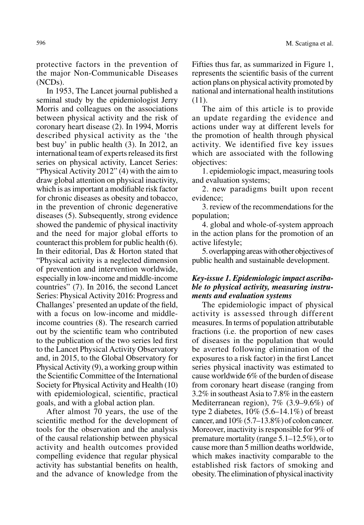protective factors in the prevention of the major Non-Communicable Diseases (NCDs).

In 1953, The Lancet journal published a seminal study by the epidemiologist Jerry Morris and colleagues on the associations between physical activity and the risk of coronary heart disease (2). In 1994, Morris described physical activity as the 'the best buy' in public health (3). In 2012, an international team of experts released its first series on physical activity, Lancet Series: "Physical Activity 2012" (4) with the aim to draw global attention on physical inactivity, which is as important a modifiable risk factor for chronic diseases as obesity and tobacco, in the prevention of chronic degenerative diseases (5). Subsequently, strong evidence showed the pandemic of physical inactivity and the need for major global efforts to counteract this problem for public health (6). In their editorial, Das & Horton stated that "Physical activity is a neglected dimension of prevention and intervention worldwide, especially in low-income and middle-income countries" (7). In 2016, the second Lancet Series: Physical Activity 2016: Progress and Challanges' presented an update of the field, with a focus on low-income and middleincome countries (8). The research carried out by the scientific team who contributed to the publication of the two series led first to the Lancet Physical Activity Observatory and, in 2015, to the Global Observatory for Physical Activity (9), a working group within the Scientific Committee of the International Society for Physical Activity and Health (10) with epidemiological, scientific, practical goals, and with a global action plan.

After almost 70 years, the use of the scientific method for the development of tools for the observation and the analysis of the causal relationship between physical activity and health outcomes provided compelling evidence that regular physical activity has substantial benefits on health, and the advance of knowledge from the

Fifties thus far, as summarized in Figure 1, represents the scientific basis of the current action plans on physical activity promoted by national and international health institutions (11).

The aim of this article is to provide an update regarding the evidence and actions under way at different levels for the promotion of health through physical activity. We identified five key issues which are associated with the following objectives:

1. epidemiologic impact, measuring tools and evaluation systems;

2. new paradigms built upon recent evidence;

3. review of the recommendations for the population;

4. global and whole-of-system approach in the action plans for the promotion of an active lifestyle;

5. overlapping areas with other objectives of public health and sustainable development.

## *Key-issue 1. Epidemiologic impact ascribable to physical activity, measuring instruments and evaluation systems*

The epidemiologic impact of physical activity is assessed through different measures. In terms of population attributable fractions (i.e. the proportion of new cases of diseases in the population that would be averted following elimination of the exposures to a risk factor) in the first Lancet series physical inactivity was estimated to cause worldwide 6% of the burden of disease from coronary heart disease (ranging from 3.2% in southeast Asia to 7.8% in the eastern Mediterranean region), 7% (3.9–9.6%) of type 2 diabetes, 10% (5.6–14.1%) of breast cancer, and  $10\%$  (5.7–13.8%) of colon cancer. Moreover, inactivity is responsible for 9% of premature mortality (range 5.1–12.5%), or to cause more than 5 million deaths worldwide, which makes inactivity comparable to the established risk factors of smoking and obesity. The elimination of physical inactivity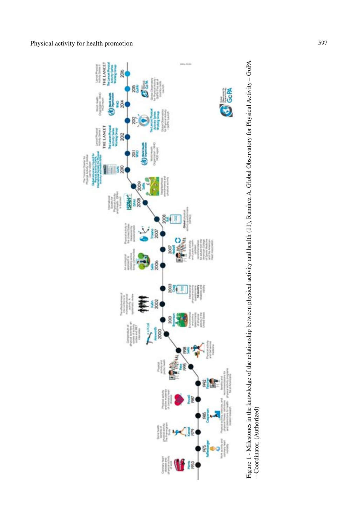



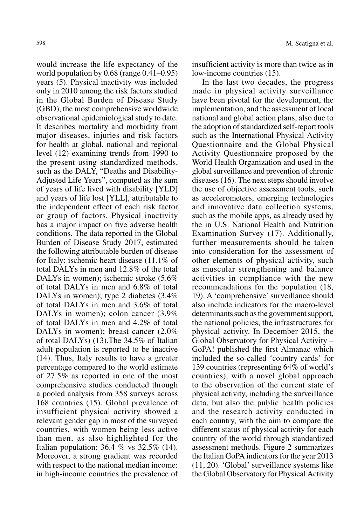would increase the life expectancy of the world population by 0.68 (range 0.41–0.95) years (5). Physical inactivity was included only in 2010 among the risk factors studied in the Global Burden of Disease Study (GBD), the most comprehensive worldwide observational epidemiological study to date. It describes mortality and morbidity from major diseases, injuries and risk factors for health at global, national and regional level (12) examining trends from 1990 to the present using standardized methods, such as the DALY, "Deaths and Disability-Adjusted Life Years", computed as the sum of years of life lived with disability [YLD] and years of life lost [YLL], attributable to the independent effect of each risk factor or group of factors. Physical inactivity has a major impact on five adverse health conditions. The data reported in the Global Burden of Disease Study 2017, estimated the following attributable burden of disease for Italy: ischemic heart disease (11.1% of total DALYs in men and 12.8% of the total DALYs in women); ischemic stroke (5.6%) of total DALYs in men and 6.8% of total DALYs in women); type 2 diabetes  $(3.4\%$ of total DALYs in men and 3.6% of total DALYs in women); colon cancer (3.9% of total DALYs in men and 4.2% of total DALYs in women); breast cancer (2.0%) of total DALYs) (13).The 34.5% of Italian adult population is reported to be inactive (14). Thus, Italy results to have a greater percentage compared to the world estimate of 27.5% as reported in one of the most comprehensive studies conducted through a pooled analysis from 358 surveys across 168 countries (15). Global prevalence of insufficient physical activity showed a relevant gender gap in most of the surveyed countries, with women being less active than men, as also highlighted for the Italian population: 36.4 % vs 32.5% (14). Moreover, a strong gradient was recorded with respect to the national median income: in high-income countries the prevalence of insufficient activity is more than twice as in low-income countries (15).

In the last two decades, the progress made in physical activity surveillance have been pivotal for the development, the implementation, and the assessment of local national and global action plans, also due to the adoption of standardized self-report tools such as the International Physical Activity Questionnaire and the Global Physical Activity Questionnaire proposed by the World Health Organization and used in the global surveillance and prevention of chronic diseases (16). The next steps should involve the use of objective assessment tools, such as accelerometers, emerging technologies and innovative data collection systems, such as the mobile apps, as already used by the in U.S. National Health and Nutrition Examination Survey (17). Additionally, further measurements should be taken into consideration for the assessment of other elements of physical activity, such as muscular strengthening and balance activities in compliance with the new recommendations for the population (18, 19). A 'comprehensive' surveillance should also include indicators for the macro-level determinants such as the government support, the national policies, the infrastructures for physical activity. In December 2015, the Global Observatory for Physical Activity – GoPA! published the first Almanac which included the so-called 'country cards' for 139 countries (representing 64% of world's countries), with a novel global approach to the observation of the current state of physical activity, including the surveillance data, but also the public health policies and the research activity conducted in each country, with the aim to compare the different status of physical activity for each country of the world through standardized assessment methods. Figure 2 summarizes the Italian GoPA indicators for the year 2013 (11, 20). 'Global' surveillance systems like the Global Observatory for Physical Activity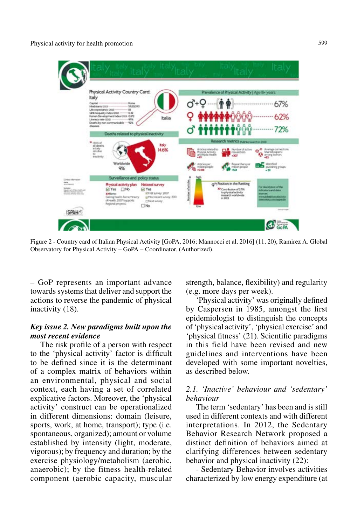

Figure 2 - Country card of Italian Physical Activity [GoPA, 2016; Mannocci et al, 2016] (11, 20), Ramirez A. Global Observatory for Physical Activity – GoPA – Coordinator. (Authorized).

– GoP represents an important advance towards systems that deliver and support the actions to reverse the pandemic of physical inactivity (18).

## *Key issue 2. New paradigms built upon the most recent evidence*

The risk profile of a person with respect to the 'physical activity' factor is difficult to be defined since it is the determinant of a complex matrix of behaviors within an environmental, physical and social context, each having a set of correlated explicative factors. Moreover, the 'physical activity' construct can be operationalized in different dimensions: domain (leisure, sports, work, at home, transport); type (i.e. spontaneous, organized); amount or volume established by intensity (light, moderate, vigorous); by frequency and duration; by the exercise physiology/metabolism (aerobic, anaerobic); by the fitness health-related component (aerobic capacity, muscular strength, balance, flexibility) and regularity (e.g. more days per week).

'Physical activity' was originally defined by Caspersen in 1985, amongst the first epidemiologist to distinguish the concepts of 'physical activity', 'physical exercise' and 'physical fitness' (21). Scientific paradigms in this field have been revised and new guidelines and interventions have been developed with some important novelties, as described below.

# *2.1. 'Inactive' behaviour and 'sedentary' behaviour*

The term 'sedentary' has been and is still used in different contexts and with different interpretations. In 2012, the Sedentary Behavior Research Network proposed a distinct definition of behaviors aimed at clarifying differences between sedentary behavior and physical inactivity (22):

- Sedentary Behavior involves activities characterized by low energy expenditure (at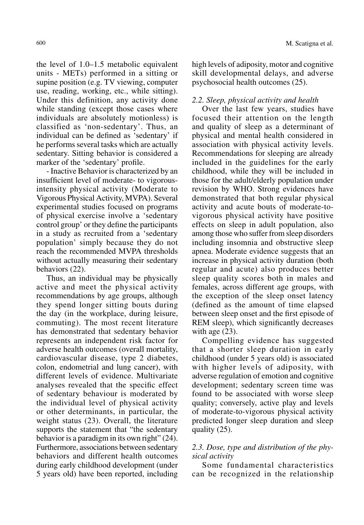the level of 1.0–1.5 metabolic equivalent units - METs) performed in a sitting or supine position (e.g. TV viewing, computer use, reading, working, etc., while sitting). Under this definition, any activity done while standing (except those cases where individuals are absolutely motionless) is classified as 'non-sedentary'. Thus, an individual can be defined as 'sedentary' if he performs several tasks which are actually sedentary. Sitting behavior is considered a marker of the 'sedentary' profile.

- Inactive Behavior is characterized by an insufficient level of moderate- to vigorousintensity physical activity (Moderate to Vigorous Physical Activity, MVPA). Several experimental studies focused on programs of physical exercise involve a 'sedentary control group' or they define the participants in a study as recruited from a 'sedentary population' simply because they do not reach the recommended MVPA thresholds without actually measuring their sedentary behaviors (22).

Thus, an individual may be physically active and meet the physical activity recommendations by age groups, although they spend longer sitting bouts during the day (in the workplace, during leisure, commuting). The most recent literature has demonstrated that sedentary behavior represents an independent risk factor for adverse health outcomes (overall mortality, cardiovascular disease, type 2 diabetes, colon, endometrial and lung cancer), with different levels of evidence. Multivariate analyses revealed that the specific effect of sedentary behaviour is moderated by the individual level of physical activity or other determinants, in particular, the weight status (23). Overall, the literature supports the statement that "the sedentary behavior is a paradigm in its own right" (24). Furthermore, associations between sedentary behaviors and different health outcomes during early childhood development (under 5 years old) have been reported, including

600 M. Scatigna et al.

high levels of adiposity, motor and cognitive skill developmental delays, and adverse psychosocial health outcomes (25).

## *2.2. Sleep, physical activity and health*

Over the last few years, studies have focused their attention on the length and quality of sleep as a determinant of physical and mental health considered in association with physical activity levels. Recommendations for sleeping are already included in the guidelines for the early childhood, while they will be included in those for the adult/elderly population under revision by WHO. Strong evidences have demonstrated that both regular physical activity and acute bouts of moderate-tovigorous physical activity have positive effects on sleep in adult population, also among those who suffer from sleep disorders including insomnia and obstructive sleep apnea. Moderate evidence suggests that an increase in physical activity duration (both regular and acute) also produces better sleep quality scores both in males and females, across different age groups, with the exception of the sleep onset latency (defined as the amount of time elapsed between sleep onset and the first episode of REM sleep), which significantly decreases with age  $(23)$ .

Compelling evidence has suggested that a shorter sleep duration in early childhood (under 5 years old) is associated with higher levels of adiposity, with adverse regulation of emotion and cognitive development; sedentary screen time was found to be associated with worse sleep quality; conversely, active play and levels of moderate-to-vigorous physical activity predicted longer sleep duration and sleep quality (25).

# *2.3. Dose, type and distribution of the physical activity*

Some fundamental characteristics can be recognized in the relationship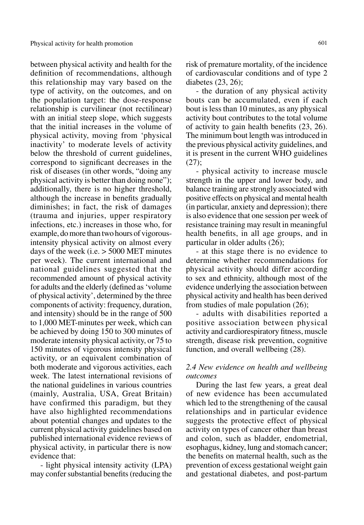between physical activity and health for the definition of recommendations, although this relationship may vary based on the type of activity, on the outcomes, and on the population target: the dose-response relationship is curvilinear (not rectilinear) with an initial steep slope, which suggests that the initial increases in the volume of physical activity, moving from 'physical inactivity' to moderate levels of activity below the threshold of current guidelines, correspond to significant decreases in the risk of diseases (in other words, "doing any physical activity is better than doing none"); additionally, there is no higher threshold, although the increase in benefits gradually diminishes; in fact, the risk of damages (trauma and injuries, upper respiratory infections, etc.) increases in those who, for example, do more than two hours of vigorousintensity physical activity on almost every days of the week (i.e. > 5000 MET minutes per week). The current international and national guidelines suggested that the recommended amount of physical activity for adults and the elderly (defined as 'volume of physical activity', determined by the three components of activity: frequency, duration, and intensity) should be in the range of 500 to 1,000 MET-minutes per week, which can be achieved by doing 150 to 300 minutes of moderate intensity physical activity, or 75 to 150 minutes of vigorous intensity physical activity, or an equivalent combination of both moderate and vigorous activities, each week. The latest international revisions of the national guidelines in various countries (mainly, Australia, USA, Great Britain) have confirmed this paradigm, but they have also highlighted recommendations about potential changes and updates to the current physical activity guidelines based on published international evidence reviews of physical activity, in particular there is now evidence that:

- light physical intensity activity (LPA) may confer substantial benefits (reducing the risk of premature mortality, of the incidence of cardiovascular conditions and of type 2 diabetes (23, 26);

- the duration of any physical activity bouts can be accumulated, even if each bout is less than 10 minutes, as any physical activity bout contributes to the total volume of activity to gain health benefits (23, 26). The minimum bout length was introduced in the previous physical activity guidelines, and it is present in the current WHO guidelines (27);

- physical activity to increase muscle strength in the upper and lower body, and balance training are strongly associated with positive effects on physical and mental health (in particular, anxiety and depression); there is also evidence that one session per week of resistance training may result in meaningful health benefits, in all age groups, and in particular in older adults (26);

- at this stage there is no evidence to determine whether recommendations for physical activity should differ according to sex and ethnicity, although most of the evidence underlying the association between physical activity and health has been derived from studies of male population (26);

- adults with disabilities reported a positive association between physical activity and cardiorespiratory fitness, muscle strength, disease risk prevention, cognitive function, and overall wellbeing (28).

## *2.4 New evidence on health and wellbeing outcomes*

During the last few years, a great deal of new evidence has been accumulated which led to the strengthening of the causal relationships and in particular evidence suggests the protective effect of physical activity on types of cancer other than breast and colon, such as bladder, endometrial, esophagus, kidney, lung and stomach cancer; the benefits on maternal health, such as the prevention of excess gestational weight gain and gestational diabetes, and post-partum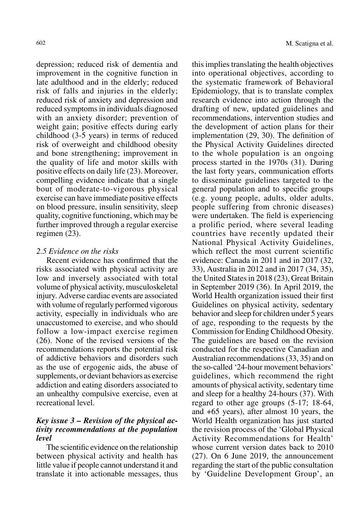depression; reduced risk of dementia and improvement in the cognitive function in late adulthood and in the elderly; reduced risk of falls and injuries in the elderly; reduced risk of anxiety and depression and reduced symptoms in individuals diagnosed with an anxiety disorder; prevention of weight gain; positive effects during early childhood (3-5 years) in terms of reduced risk of overweight and childhood obesity and bone strengthening; improvement in the quality of life and motor skills with positive effects on daily life (23). Moreover, compelling evidence indicate that a single bout of moderate-to-vigorous physical exercise can have immediate positive effects on blood pressure, insulin sensitivity, sleep quality, cognitive functioning, which may be further improved through a regular exercise regimen (23).

#### *2.5 Evidence on the risks*

Recent evidence has confirmed that the risks associated with physical activity are low and inversely associated with total volume of physical activity, musculoskeletal injury. Adverse cardiac events are associated with volume of regularly performed vigorous activity, especially in individuals who are unaccustomed to exercise, and who should follow a low-impact exercise regimen (26). None of the revised versions of the recommendations reports the potential risk of addictive behaviors and disorders such as the use of ergogenic aids, the abuse of supplements, or deviant behaviors as exercise addiction and eating disorders associated to an unhealthy compulsive exercise, even at recreational level.

# *Key issue 3 – Revision of the physical activity recommendations at the population level*

The scientific evidence on the relationship between physical activity and health has little value if people cannot understand it and translate it into actionable messages, thus

this implies translating the health objectives into operational objectives, according to the systematic framework of Behavioral Epidemiology, that is to translate complex research evidence into action through the drafting of new, updated guidelines and recommendations, intervention studies and the development of action plans for their implementation (29, 30). The definition of the Physical Activity Guidelines directed to the whole population is an ongoing process started in the 1970s (31). During the last forty years, communication efforts to disseminate guidelines targeted to the general population and to specific groups (e.g. young people, adults, older adults, people suffering from chronic diseases) were undertaken. The field is experiencing a prolific period, where several leading countries have recently updated their National Physical Activity Guidelines, which reflect the most current scientific evidence: Canada in 2011 and in 2017 (32, 33), Australia in 2012 and in 2017 (34, 35), the United States in 2018 (23), Great Britain in September 2019 (36). In April 2019, the World Health organization issued their first Guidelines on physical activity, sedentary behavior and sleep for children under 5 years of age, responding to the requests by the Commission for Ending Childhood Obesity. The guidelines are based on the revision conducted for the respective Canadian and Australian recommendations (33, 35) and on the so-called '24-hour movement behaviors' guidelines, which recommend the right amounts of physical activity, sedentary time and sleep for a healthy 24-hours (37). With regard to other age groups (5-17; 18-64, and +65 years), after almost 10 years, the World Health organization has just started the revision process of the 'Global Physical Activity Recommendations for Health' whose current version dates back to 2010 (27). On 6 June 2019, the announcement regarding the start of the public consultation by 'Guideline Development Group', an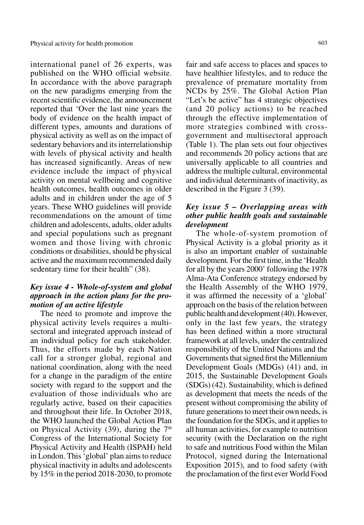international panel of 26 experts, was published on the WHO official website. In accordance with the above paragraph on the new paradigms emerging from the recent scientific evidence, the announcement reported that 'Over the last nine years the body of evidence on the health impact of different types, amounts and durations of physical activity as well as on the impact of sedentary behaviors and its interrelationship with levels of physical activity and health has increased significantly. Areas of new evidence include the impact of physical activity on mental wellbeing and cognitive health outcomes, health outcomes in older adults and in children under the age of 5 years. These WHO guidelines will provide recommendations on the amount of time children and adolescents, adults, older adults and special populations such as pregnant women and those living with chronic conditions or disabilities, should be physical active and the maximum recommended daily sedentary time for their health" (38).

## *Key issue 4 - Whole-of-system and global approach in the action plans for the promotion of an active lifestyle*

The need to promote and improve the physical activity levels requires a multisectoral and integrated approach instead of an individual policy for each stakeholder. Thus, the efforts made by each Nation call for a stronger global, regional and national coordination, along with the need for a change in the paradigm of the entire society with regard to the support and the evaluation of those individuals who are regularly active, based on their capacities and throughout their life. In October 2018, the WHO launched the Global Action Plan on Physical Activity (39), during the  $7<sup>th</sup>$ Congress of the International Society for Physical Activity and Health (ISPAH) held in London. This 'global' plan aims to reduce physical inactivity in adults and adolescents by 15% in the period 2018-2030, to promote

fair and safe access to places and spaces to have healthier lifestyles, and to reduce the prevalence of premature mortality from NCDs by 25%. The Global Action Plan "Let's be active" has 4 strategic objectives (and 20 policy actions) to be reached through the effective implementation of more strategies combined with crossgovernment and multisectoral approach (Table 1). The plan sets out four objectives and recommends 20 policy actions that are universally applicable to all countries and address the multiple cultural, environmental and individual determinants of inactivity, as described in the Figure 3 (39).

# *Key issue 5 – Overlapping areas with other public health goals and sustainable development*

The whole-of-system promotion of Physical Activity is a global priority as it is also an important enabler of sustainable development*.* For the first time, in the 'Health for all by the years 2000' following the 1978 Alma-Ata Conference strategy endorsed by the Health Assembly of the WHO 1979, it was affirmed the necessity of a 'global' approach on the basis of the relation between public health and development (40). However, only in the last few years, the strategy has been defined within a more structural framework at all levels, under the centralized responsibility of the United Nations and the Governments that signed first the Millennium Development Goals (MDGs) (41) and, in 2015, the Sustainable Development Goals (SDGs) (42). Sustainability, which is defined as development that meets the needs of the present without compromising the ability of future generations to meet their own needs, is the foundation for the SDGs, and it applies to all human activities, for example to nutrition security (with the Declaration on the right to safe and nutritious Food within the Milan Protocol, signed during the International Exposition 2015), and to food safety (with the proclamation of the first ever World Food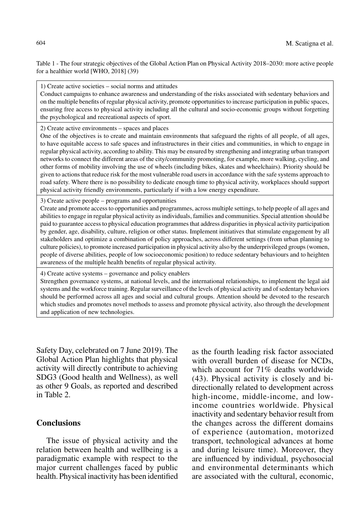Table 1 - The four strategic objectives of the Global Action Plan on Physical Activity 2018–2030: more active people for a healthier world [WHO, 2018] (39)

1) Create active societies – social norms and attitudes

Conduct campaigns to enhance awareness and understanding of the risks associated with sedentary behaviors and on the multiple benefits of regular physical activity, promote opportunities to increase participation in public spaces, ensuring free access to physical activity including all the cultural and socio-economic groups without forgetting the psychological and recreational aspects of sport.

2) Create active environments – spaces and places

One of the objectives is to create and maintain environments that safeguard the rights of all people, of all ages, to have equitable access to safe spaces and infrastructures in their cities and communities, in which to engage in regular physical activity, according to ability. This may be ensured by strengthening and integrating urban transport networks to connect the different areas of the city/community promoting, for example, more walking, cycling, and other forms of mobility involving the use of wheels (including bikes, skates and wheelchairs). Priority should be given to actions that reduce risk for the most vulnerable road users in accordance with the safe systems approach to road safety. Where there is no possibility to dedicate enough time to physical activity, workplaces should support physical activity friendly environments, particularly if with a low energy expenditure.

3) Create active people – programs and opportunities

Create and promote access to opportunities and programmes, across multiple settings, to help people of all ages and abilities to engage in regular physical activity as individuals, families and communities. Special attention should be paid to guarantee access to physical education programmes that address disparities in physical activity participation by gender, age, disability, culture, religion or other status. Implement initiatives that stimulate engagement by all stakeholders and optimize a combination of policy approaches, across different settings (from urban planning to culture policies), to promote increased participation in physical activity also by the underprivileged groups (women, people of diverse abilities, people of low socioeconomic position) to reduce sedentary behaviours and to heighten awareness of the multiple health benefits of regular physical activity.

4) Create active systems – governance and policy enablers

Strengthen governance systems, at national levels, and the international relationships, to implement the legal aid systems and the workforce training. Regular surveillance of the levels of physical activity and of sedentary behaviors should be performed across all ages and social and cultural groups. Attention should be devoted to the research which studies and promotes novel methods to assess and promote physical activity, also through the development and application of new technologies.

Safety Day, celebrated on 7 June 2019). The Global Action Plan highlights that physical activity will directly contribute to achieving SDG3 (Good health and Wellness), as well as other 9 Goals, as reported and described in Table 2.

# **Conclusions**

The issue of physical activity and the relation between health and wellbeing is a paradigmatic example with respect to the major current challenges faced by public health. Physical inactivity has been identified as the fourth leading risk factor associated with overall burden of disease for NCDs. which account for 71% deaths worldwide (43). Physical activity is closely and bidirectionally related to development across high-income, middle-income, and lowincome countries worldwide. Physical inactivity and sedentary behavior result from the changes across the different domains of experience (automation, motorized transport, technological advances at home and during leisure time). Moreover, they are influenced by individual, psychosocial and environmental determinants which are associated with the cultural, economic,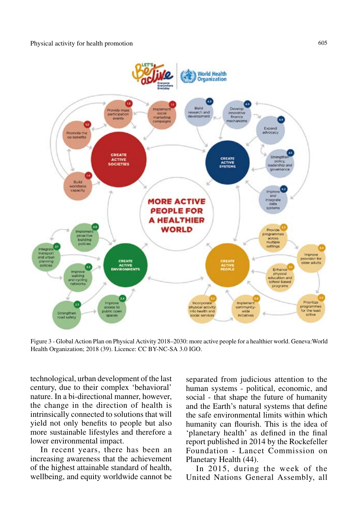

Figure 3 - Global Action Plan on Physical Activity 2018–2030: more active people for a healthier world. Geneva:World Health Organization; 2018 (39). Licence: CC BY-NC-SA 3.0 IGO.

technological, urban development of the last century, due to their complex 'behavioral' nature. In a bi-directional manner, however, the change in the direction of health is intrinsically connected to solutions that will yield not only benefits to people but also more sustainable lifestyles and therefore a lower environmental impact.

In recent years, there has been an increasing awareness that the achievement of the highest attainable standard of health, wellbeing, and equity worldwide cannot be separated from judicious attention to the human systems - political, economic, and social - that shape the future of humanity and the Earth's natural systems that define the safe environmental limits within which humanity can flourish. This is the idea of 'planetary health' as defined in the final report published in 2014 by the Rockefeller Foundation - Lancet Commission on Planetary Health (44).

In 2015, during the week of the United Nations General Assembly, all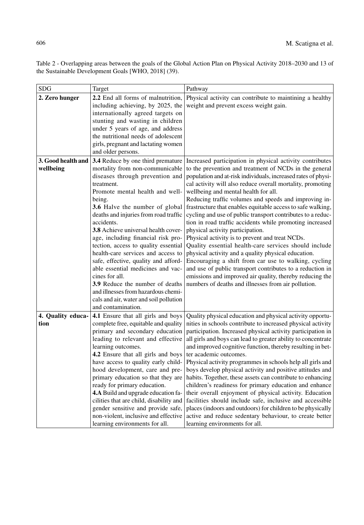Table 2 - Overlapping areas between the goals of the Global Action Plan on Physical Activity 2018–2030 and 13 of the Sustainable Development Goals [WHO, 2018] (39).

| <b>SDG</b>                | Target                                                                                                                                                                                                                                                                                                                                                                                                                                                                                                                                                                                                                            | Pathway                                                                                                                                                                                                                                                                                                                                                                                                                                                                                                                                                                                                                                                                                                                                                                                                                                                                                                                         |
|---------------------------|-----------------------------------------------------------------------------------------------------------------------------------------------------------------------------------------------------------------------------------------------------------------------------------------------------------------------------------------------------------------------------------------------------------------------------------------------------------------------------------------------------------------------------------------------------------------------------------------------------------------------------------|---------------------------------------------------------------------------------------------------------------------------------------------------------------------------------------------------------------------------------------------------------------------------------------------------------------------------------------------------------------------------------------------------------------------------------------------------------------------------------------------------------------------------------------------------------------------------------------------------------------------------------------------------------------------------------------------------------------------------------------------------------------------------------------------------------------------------------------------------------------------------------------------------------------------------------|
| 2. Zero hunger            | 2.2 End all forms of malnutrition,<br>including achieving, by 2025, the<br>internationally agreed targets on<br>stunting and wasting in children<br>under 5 years of age, and address<br>the nutritional needs of adolescent<br>girls, pregnant and lactating women<br>and older persons.                                                                                                                                                                                                                                                                                                                                         | Physical activity can contribute to maintining a healthy<br>weight and prevent excess weight gain.                                                                                                                                                                                                                                                                                                                                                                                                                                                                                                                                                                                                                                                                                                                                                                                                                              |
| 3. Good health and        | 3.4 Reduce by one third premature                                                                                                                                                                                                                                                                                                                                                                                                                                                                                                                                                                                                 | Increased participation in physical activity contributes                                                                                                                                                                                                                                                                                                                                                                                                                                                                                                                                                                                                                                                                                                                                                                                                                                                                        |
| wellbeing                 | mortality from non-communicable<br>diseases through prevention and<br>treatment.<br>Promote mental health and well-<br>being.<br>3.6 Halve the number of global<br>deaths and injuries from road traffic<br>accidents.<br>3.8 Achieve universal health cover-<br>age, including financial risk pro-<br>tection, access to quality essential<br>health-care services and access to<br>safe, effective, quality and afford-<br>able essential medicines and vac-<br>cines for all.<br><b>3.9</b> Reduce the number of deaths<br>and illnesses from hazardous chemi-<br>cals and air, water and soil pollution<br>and contamination. | to the prevention and treatment of NCDs in the general<br>population and at-risk individuals, increased rates of physi-<br>cal activity will also reduce overall mortality, promoting<br>wellbeing and mental health for all.<br>Reducing traffic volumes and speeds and improving in-<br>frastructure that enables equitable access to safe walking,<br>cycling and use of public transport contributes to a reduc-<br>tion in road traffic accidents while promoting increased<br>physical activity participation.<br>Physical activity is to prevent and treat NCDs.<br>Quality essential health-care services should include<br>physical activity and a quality physical education.<br>Encouraging a shift from car use to walking, cycling<br>and use of public transport contributes to a reduction in<br>emissions and improved air quality, thereby reducing the<br>numbers of deaths and illnesses from air pollution. |
| 4. Quality educa-<br>tion | 4.1 Ensure that all girls and boys<br>complete free, equitable and quality<br>primary and secondary education<br>leading to relevant and effective<br>learning outcomes.<br>4.2 Ensure that all girls and boys<br>have access to quality early child-<br>hood development, care and pre-<br>primary education so that they are<br>ready for primary education.<br>4.A Build and upgrade education fa-<br>cilities that are child, disability and<br>gender sensitive and provide safe,<br>non-violent, inclusive and effective<br>learning environments for all.                                                                  | Quality physical education and physical activity opportu-<br>nities in schools contribute to increased physical activity<br>participation. Increased physical activity participation in<br>all girls and boys can lead to greater ability to concentrate<br>and improved cognitive function, thereby resulting in bet-<br>ter academic outcomes.<br>Physical activity programmes in schools help all girls and<br>boys develop physical activity and positive attitudes and<br>habits. Together, these assets can contribute to enhancing<br>children's readiness for primary education and enhance<br>their overall enjoyment of physical activity. Education<br>facilities should include safe, inclusive and accessible<br>places (indoors and outdoors) for children to be physically<br>active and reduce sedentary behaviour, to create better<br>learning environments for all.                                          |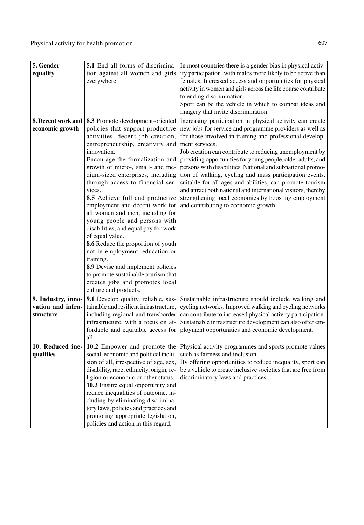| 5. Gender<br>equality                                | <b>5.1</b> End all forms of discrimina-<br>tion against all women and girls<br>everywhere.                                                                                                                                                                                                                                                                                                                                                                                                                                                                                                                                                                                                                                                              | In most countries there is a gender bias in physical activ-<br>ity participation, with males more likely to be active than<br>females. Increased access and opportunities for physical<br>activity in women and girls across the life course contribute<br>to ending discrimination.<br>Sport can be the vehicle in which to combat ideas and<br>imagery that invite discrimination.                                                                                                                                                                                                                                                                                              |
|------------------------------------------------------|---------------------------------------------------------------------------------------------------------------------------------------------------------------------------------------------------------------------------------------------------------------------------------------------------------------------------------------------------------------------------------------------------------------------------------------------------------------------------------------------------------------------------------------------------------------------------------------------------------------------------------------------------------------------------------------------------------------------------------------------------------|-----------------------------------------------------------------------------------------------------------------------------------------------------------------------------------------------------------------------------------------------------------------------------------------------------------------------------------------------------------------------------------------------------------------------------------------------------------------------------------------------------------------------------------------------------------------------------------------------------------------------------------------------------------------------------------|
| 8. Decent work and<br>economic growth                | 8.3 Promote development-oriented<br>policies that support productive<br>activities, decent job creation,<br>entrepreneurship, creativity and<br>innovation.<br>Encourage the formalization and<br>growth of micro-, small- and me-<br>dium-sized enterprises, including<br>through access to financial ser-<br>vices<br>8.5 Achieve full and productive<br>employment and decent work for<br>all women and men, including for<br>young people and persons with<br>disabilities, and equal pay for work<br>of equal value.<br>8.6 Reduce the proportion of youth<br>not in employment, education or<br>training.<br>8.9 Devise and implement policies<br>to promote sustainable tourism that<br>creates jobs and promotes local<br>culture and products. | Increasing participation in physical activity can create<br>new jobs for service and programme providers as well as<br>for those involved in training and professional develop-<br>ment services.<br>Job creation can contribute to reducing unemployment by<br>providing opportunities for young people, older adults, and<br>persons with disabilities. National and subnational promo-<br>tion of walking, cycling and mass participation events,<br>suitable for all ages and abilities, can promote tourism<br>and attract both national and international visitors, thereby<br>strengthening local economies by boosting employment<br>and contributing to economic growth. |
| 9. Industry, inno-<br>vation and infra-<br>structure | <b>9.1</b> Develop quality, reliable, sus-<br>tainable and resilient infrastructure,<br>including regional and transborder<br>infrastructure, with a focus on af-<br>fordable and equitable access for<br>all.                                                                                                                                                                                                                                                                                                                                                                                                                                                                                                                                          | Sustainable infrastructure should include walking and<br>cycling networks. Improved walking and cycling networks<br>can contribute to increased physical activity participation.<br>Sustainable infrastructure development can also offer em-<br>ployment opportunities and economic development.                                                                                                                                                                                                                                                                                                                                                                                 |
| 10. Reduced ine-<br>qualities                        | 10.2 Empower and promote the<br>social, economic and political inclu-<br>sion of all, irrespective of age, sex,<br>disability, race, ethnicity, origin, re-<br>ligion or economic or other status.<br>10.3 Ensure equal opportunity and<br>reduce inequalities of outcome, in-<br>cluding by eliminating discrimina-<br>tory laws, policies and practices and<br>promoting appropriate legislation,<br>policies and action in this regard.                                                                                                                                                                                                                                                                                                              | Physical activity programmes and sports promote values<br>such as fairness and inclusion.<br>By offering opportunities to reduce inequality, sport can<br>be a vehicle to create inclusive societies that are free from<br>discriminatory laws and practices                                                                                                                                                                                                                                                                                                                                                                                                                      |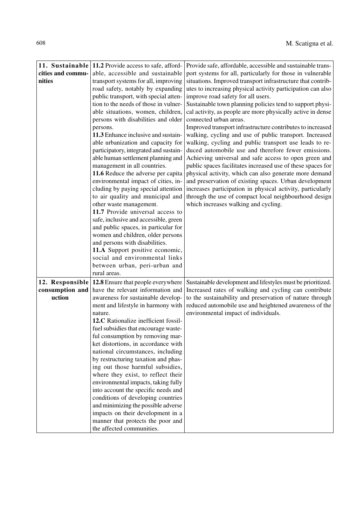| cities and commu-<br>nities                  | 11. Sustainable 11.2 Provide access to safe, afford-<br>able, accessible and sustainable<br>transport systems for all, improving<br>road safety, notably by expanding<br>public transport, with special atten-<br>tion to the needs of those in vulner-<br>able situations, women, children,<br>persons with disabilities and older<br>persons.<br>11.3 Enhance inclusive and sustain-<br>able urbanization and capacity for<br>participatory, integrated and sustain-<br>able human settlement planning and<br>management in all countries.<br>11.6 Reduce the adverse per capita<br>environmental impact of cities, in-<br>cluding by paying special attention<br>to air quality and municipal and<br>other waste management.<br>11.7 Provide universal access to<br>safe, inclusive and accessible, green<br>and public spaces, in particular for<br>women and children, older persons<br>and persons with disabilities.<br>11.A Support positive economic,<br>social and environmental links<br>between urban, peri-urban and<br>rural areas. | Provide safe, affordable, accessible and sustainable trans-<br>port systems for all, particularly for those in vulnerable<br>situations. Improved transport infrastructure that contrib-<br>utes to increasing physical activity participation can also<br>improve road safety for all users.<br>Sustainable town planning policies tend to support physi-<br>cal activity, as people are more physically active in dense<br>connected urban areas.<br>Improved transport infrastructure contributes to increased<br>walking, cycling and use of public transport. Increased<br>walking, cycling and public transport use leads to re-<br>duced automobile use and therefore fewer emissions.<br>Achieving universal and safe access to open green and<br>public spaces facilitates increased use of these spaces for<br>physical activity, which can also generate more demand<br>and preservation of existing spaces. Urban development<br>increases participation in physical activity, particularly<br>through the use of compact local neighbourhood design<br>which increases walking and cycling. |
|----------------------------------------------|---------------------------------------------------------------------------------------------------------------------------------------------------------------------------------------------------------------------------------------------------------------------------------------------------------------------------------------------------------------------------------------------------------------------------------------------------------------------------------------------------------------------------------------------------------------------------------------------------------------------------------------------------------------------------------------------------------------------------------------------------------------------------------------------------------------------------------------------------------------------------------------------------------------------------------------------------------------------------------------------------------------------------------------------------|----------------------------------------------------------------------------------------------------------------------------------------------------------------------------------------------------------------------------------------------------------------------------------------------------------------------------------------------------------------------------------------------------------------------------------------------------------------------------------------------------------------------------------------------------------------------------------------------------------------------------------------------------------------------------------------------------------------------------------------------------------------------------------------------------------------------------------------------------------------------------------------------------------------------------------------------------------------------------------------------------------------------------------------------------------------------------------------------------------|
| 12. Responsible<br>consumption and<br>uction | 12.8 Ensure that people everywhere<br>have the relevant information and<br>awareness for sustainable develop-<br>ment and lifestyle in harmony with<br>nature.<br>12.C Rationalize inefficient fossil-<br>fuel subsidies that encourage waste-<br>ful consumption by removing mar-<br>ket distortions, in accordance with<br>national circumstances, including<br>by restructuring taxation and phas-<br>ing out those harmful subsidies,<br>where they exist, to reflect their<br>environmental impacts, taking fully<br>into account the specific needs and<br>conditions of developing countries<br>and minimizing the possible adverse<br>impacts on their development in a<br>manner that protects the poor and<br>the affected communities.                                                                                                                                                                                                                                                                                                 | Sustainable development and lifestyles must be prioritized.<br>Increased rates of walking and cycling can contribute<br>to the sustainability and preservation of nature through<br>reduced automobile use and heightened awareness of the<br>environmental impact of individuals.                                                                                                                                                                                                                                                                                                                                                                                                                                                                                                                                                                                                                                                                                                                                                                                                                       |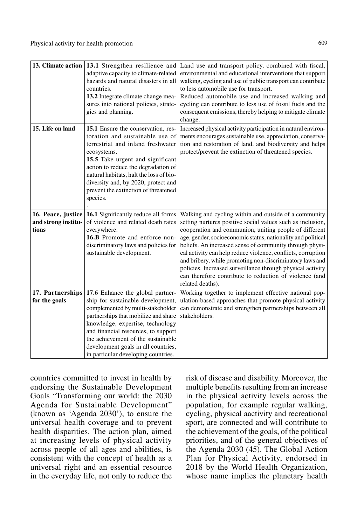|                                   | 13. Climate action $ 13.1$ Strengthen resilience and<br>adaptive capacity to climate-related<br>hazards and natural disasters in all<br>countries.<br>13.2 Integrate climate change mea-<br>sures into national policies, strate-<br>gies and planning.                                                                                           | Land use and transport policy, combined with fiscal,<br>environmental and educational interventions that support<br>walking, cycling and use of public transport can contribute<br>to less automobile use for transport.<br>Reduced automobile use and increased walking and<br>cycling can contribute to less use of fossil fuels and the<br>consequent emissions, thereby helping to mitigate climate<br>change.                                                                                                                                                               |
|-----------------------------------|---------------------------------------------------------------------------------------------------------------------------------------------------------------------------------------------------------------------------------------------------------------------------------------------------------------------------------------------------|----------------------------------------------------------------------------------------------------------------------------------------------------------------------------------------------------------------------------------------------------------------------------------------------------------------------------------------------------------------------------------------------------------------------------------------------------------------------------------------------------------------------------------------------------------------------------------|
| 15. Life on land                  | 15.1 Ensure the conservation, res-<br>toration and sustainable use of<br>terrestrial and inland freshwater<br>ecosystems.<br>15.5 Take urgent and significant<br>action to reduce the degradation of<br>natural habitats, halt the loss of bio-<br>diversity and, by 2020, protect and<br>prevent the extinction of threatened<br>species.        | Increased physical activity participation in natural environ-<br>ments encourages sustainable use, appreciation, conserva-<br>tion and restoration of land, and biodiversity and helps<br>protect/prevent the extinction of threatened species.                                                                                                                                                                                                                                                                                                                                  |
| and strong institu-<br>tions      | 16. Peace, justice 16.1 Significantly reduce all forms<br>of violence and related death rates<br>everywhere.<br>16.B Promote and enforce non-<br>discriminatory laws and policies for<br>sustainable development.                                                                                                                                 | Walking and cycling within and outside of a community<br>setting nurtures positive social values such as inclusion,<br>cooperation and communion, uniting people of different<br>age, gender, socioeconomic status, nationality and political<br>beliefs. An increased sense of community through physi-<br>cal activity can help reduce violence, conflicts, corruption<br>and bribery, while promoting non-discriminatory laws and<br>policies. Increased surveillance through physical activity<br>can therefore contribute to reduction of violence (and<br>related deaths). |
| 17. Partnerships<br>for the goals | 17.6 Enhance the global partner-<br>ship for sustainable development,<br>complemented by multi-stakeholder<br>partnerships that mobilize and share<br>knowledge, expertise, technology<br>and financial resources, to support<br>the achievement of the sustainable<br>development goals in all countries,<br>in particular developing countries. | Working together to implement effective national pop-<br>ulation-based approaches that promote physical activity<br>can demonstrate and strengthen partnerships between all<br>stakeholders.                                                                                                                                                                                                                                                                                                                                                                                     |

countries committed to invest in health by endorsing the Sustainable Development Goals "Transforming our world: the 2030 Agenda for Sustainable Development" (known as 'Agenda 2030'), to ensure the universal health coverage and to prevent health disparities. The action plan, aimed at increasing levels of physical activity across people of all ages and abilities, is consistent with the concept of health as a universal right and an essential resource in the everyday life, not only to reduce the risk of disease and disability. Moreover, the multiple benefits resulting from an increase in the physical activity levels across the population, for example regular walking, cycling, physical aactivity and recreational sport, are connected and will contribute to the achievement of the goals, of the political priorities, and of the general objectives of the Agenda 2030 (45). The Global Action Plan for Physical Activity, endorsed in 2018 by the World Health Organization, whose name implies the planetary health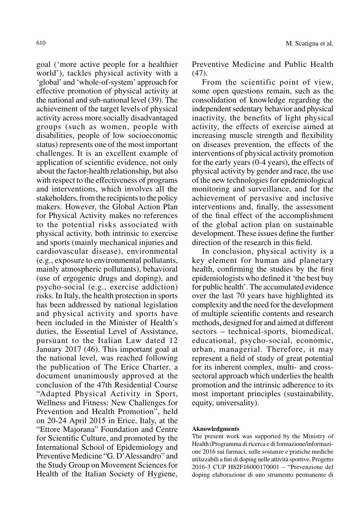goal ('more active people for a healthier world'), tackles physical activity with a 'global' and 'whole-of-system' approach for effective promotion of physical activity at the national and sub-national level (39). The achievement of the target levels of physical activity across more socially disadvantaged groups (such as women, people with disabilities, people of low socioeconomic status) represents one of the most important challenges. It is an excellent example of application of scientific evidence, not only about the factor-health relationship, but also with respect to the effectiveness of programs and interventions, which involves all the stakeholders, from the recipients to the policy makers. However, the Global Action Plan for Physical Activity makes no references to the potential risks associated with physical activity, both intrinsic to exercise and sports (mainly mechanical injuries and cardiovascular disease), environmental (e.g., exposure to environmental pollutants, mainly atmospheric pollutants), behavioral (use of ergogenic drugs and doping), and psycho-social (e.g., exercise addiction) risks. In Italy, the health protection in sports has been addressed by national legislation and physical activity and sports have been included in the Minister of Health's duties, the Essential Level of Assistance, pursuant to the Italian Law dated 12 January 2017 (46). This important goal at the national level, was reached following the publication of The Erice Charter, a document unanimously approved at the conclusion of the 47th Residential Course "Adapted Physical Activity in Sport, Wellness and Fitness: New Challenges for Prevention and Health Promotion", held on 20-24 April 2015 in Erice, Italy, at the "Ettore Majorana" Foundation and Centre for Scientific Culture, and promoted by the International School of Epidemiology and Preventive Medicine "G. D'Alessandro" and the Study Group on Movement Sciences for Health of the Italian Society of Hygiene,

Preventive Medicine and Public Health (47).

From the scientific point of view, some open questions remain, such as the consolidation of knowledge regarding the independent sedentary behavior and physical inactivity, the benefits of light physical activity, the effects of exercise aimed at increasing muscle strength and flexibility on diseases prevention, the effects of the interventions of physical activity promotion for the early years (0-4 years), the effects of physical activity by gender and race, the use of the new technologies for epidemiological monitoring and surveillance, and for the achievement of pervasive and inclusive interventions and, finally, the assessment of the final effect of the accomplishment of the global action plan on sustainable development. These issues define the further direction of the research in this field.

In conclusion, physical activity is a key element for human and planetary health, confirming the studies by the first epidemiologists who defined it 'the best buy for public health'. The accumulated evidence over the last 70 years have highlighted its complexity and the need for the development of multiple scientific contents and research methods, designed for and aimed at different sectors – technical-sports, biomedical, educational, psycho-social, economic, urban, managerial. Therefore, it may represent a field of study of great potential for its inherent complex, multi- and crosssectoral approach which underlies the health promotion and the intrinsic adherence to its most important principles (sustainability, equity, universality).

#### **Aknowledgments**

The present work was supported by the Ministry of Health (Programma di ricerca e di formazione/informazione 2016 sui farmaci, sulle sostanze e pratiche mediche utilizzabili a fini di doping nelle attività sportive. Progetto 2016-3 CUP H82F16000170001 – "Prevenzione del doping elaborazione di uno strumento permanente di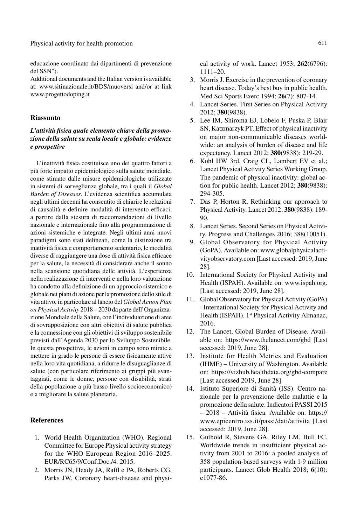educazione coordinato dai dipartimenti di prevenzione del SSN").

Additional documents and the Italian version is available at: www.sitinazionale.it/BDS/muoversi and/or at link www.progettodoping.it

#### **Riassunto**

#### *L'attività fisica quale elemento chiave della promozione della salute su scala locale e globale: evidenze e prospettive*

L'inattività fisica costituisce uno dei quattro fattori a più forte impatto epidemiologico sulla salute mondiale, come stimato dalle misure epidemiologiche utilizzate in sistemi di sorveglianza globale, tra i quali il *Global Burden of Diseases*. L'evidenza scientifica accumulata negli ultimi decenni ha consentito di chiarire le relazioni di causalità e definire modalità di intervento efficaci, a partire dalla stesura di raccomandazioni di livello nazionale e internazionale fino alla programmazione di azioni sistemiche e integrate. Negli ultimi anni nuovi paradigmi sono stati delineati, come la distinzione tra inattività fisica e comportamento sedentario, le modalità diverse di raggiungere una dose di attività fisica efficace per la salute, la necessità di considerare anche il sonno nella scansione quotidiana delle attività. L'esperienza nella realizzazione di interventi e nella loro valutazione ha condotto alla definizione di un approccio sistemico e globale nei piani di azione per la promozione dello stile di vita attivo, in particolare al lancio del *Global Action Plan on Physical Activity* 2018 – 2030 da parte dell'Organizzazione Mondiale della Salute, con l'individuazione di aree di sovrapposizione con altri obiettivi di salute pubblica e la connessione con gli obiettivi di sviluppo sostenibile previsti dall'Agenda 2030 per lo Sviluppo Sostenibile. In questa prospettiva, le azioni in campo sono mirate a mettere in grado le persone di essere fisicamente attive nella loro vita quotidiana, a ridurre le disuguaglianze di salute (con particolare riferimento ai gruppi più svantaggiati, come le donne, persone con disabilità, strati della popolazione a più basso livello socioeconomico) e a migliorare la salute planetaria.

#### **References**

- 1. World Health Organization (WHO). Regional Committee for Europe Physical activity strategy for the WHO European Region 2016–2025. EUR/RC65/9/Conf.Doc./4. 2015.
- 2. Morris JN, Heady JA, Raffl e PA, Roberts CG, Parks JW. Coronary heart-disease and physi-

cal activity of work. Lancet 1953; **262**(6796): 1111–20.

- 3. Morris J. Exercise in the prevention of coronary heart disease. Today's best buy in public health. Med Sci Sports Exerc 1994; **26**(7): 807-14.
- 4. Lancet Series. First Series on Physical Activity 2012; **380**(9838).
- 5. Lee IM, Shiroma EJ, Lobelo F, Puska P, Blair SN, Katzmarzyk PT. Effect of physical inactivity on major non-communicable diseases worldwide: an analysis of burden of disease and life expectancy. Lancet 2012; **380**(9838): 219-29.
- 6. Kohl HW 3rd, Craig CL, Lambert EV et al.; Lancet Physical Activity Series Working Group. The pandemic of physical inactivity: global action for public health. Lancet 2012; **380**(9838): 294-305.
- 7. Das P, Horton R. Rethinking our approach to Physical Activity. Lancet 2012; **380**(9838): 189- 90.
- 8. Lancet Series. Second Series on Physical Activity. Progress and Challenges 2016; 388(10051).
- 9. Global Observatory for Physical Activity (GoPA). Available on: www.globalphysicalactivityobservatory.com [Last accessed: 2019, June 28].
- 10. International Society for Physical Activity and Health (ISPAH). Available on: www.ispah.org. [Last accessed: 2019, June 28].
- 11. Global Observatory for Physical Activity (GoPA) - International Society for Physical Activity and Health (ISPAH). 1st Physical Activity Almanac, 2016.
- 12. The Lancet, Global Burden of Disease. Available on: https://www.thelancet.com/gbd [Last accessed: 2019, June 28].
- 13. Institute for Health Metrics and Evaluation (IHME) – University of Washington. Available on: https://vizhub.healthdata.org/gbd-compare [Last accessed 2019, June 28].
- 14. Istituto Superiore di Sanità (ISS). Centro nazionale per la prevenzione delle malattie e la promozione della salute. Indicatori PASSI 2015 – 2018 – Attività fisica. Available on: https:// www.epicentro.iss.it/passi/dati/attivita [Last accessed: 2019, June 28].
- 15. Guthold R, Stevens GA, Riley LM, Bull FC. Worldwide trends in insufficient physical activity from 2001 to 2016: a pooled analysis of 358 population-based surveys with 1·9 million participants. Lancet Glob Health 2018; **6**(10): e1077-86.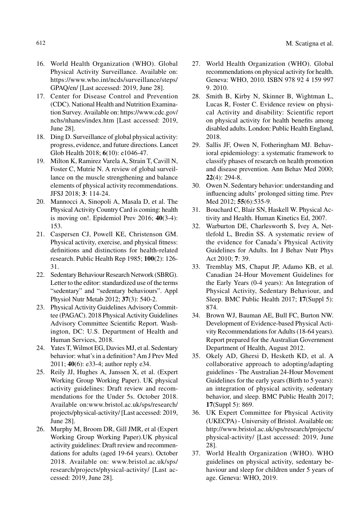- 16. World Health Organization (WHO). Global Physical Activity Surveillance. Available on: https://www.who.int/ncds/surveillance/steps/ GPAQ/en/ [Last accessed: 2019, June 28].
- 17. Center for Disease Control and Prevention (CDC). National Health and Nutrition Examination Survey. Available on: https://www.cdc.gov/ nchs/nhanes/index.htm [Last accessed: 2019, June 28].
- 18. Ding D. Surveillance of global physical activity: progress, evidence, and future directions. Lancet Glob Health 2018; **6**(10): e1046-47.
- 19. Milton K, Ramirez Varela A, Strain T, Cavill N, Foster C, Mutrie N. A review of global surveillance on the muscle strengthening and balance elements of physical activity recommendations. JFSJ 2018; **3**: 114-24.
- 20. Mannocci A, Sinopoli A, Masala D, et al. The Physical Activity Country Card is coming: health is moving on!. Epidemiol Prev 2016; **40**(3-4): 153.
- 21. Caspersen CJ, Powell KE, Christenson GM. Physical activity, exercise, and physical fitness: definitions and distinctions for health-related research. Public Health Rep 1985; **100**(2): 126- 31.
- 22. Sedentary Behaviour Research Network (SBRG). Letter to the editor: standardized use of the terms "sedentary" and "sedentary behaviours". Appl Physiol Nutr Metab 2012; **37**(3): 540-2.
- 23. Physical Activity Guidelines Advisory Committee (PAGAC). 2018 Physical Activity Guidelines Advisory Committee Scientific Report. Washington, DC: U.S. Department of Health and Human Services, 2018.
- 24. Yates T, Wilmot EG, Davies MJ, et al. Sedentary behavior: what's in a definition? Am J Prev Med 2011; **40**(6): e33-4; author reply e34.
- 25. Reily JJ, Hughes A, Janssen X, et al. (Expert Working Group Working Paper). UK physical activity guidelines: Draft review and recommendations for the Under 5s. October 2018. Available on:www.bristol.ac.uk/sps/research/ projects/physical-activity/ [Last accessed: 2019, June 28].
- 26. Murphy M, Broom DR, Gill JMR, et al (Expert Working Group Working Paper).UK physical activity guidelines: Draft review and recommendations for adults (aged 19-64 years). October 2018. Available on: www.bristol.ac.uk/sps/ research/projects/physical-activity/ [Last accessed: 2019, June 28].
- 27. World Health Organization (WHO). Global recommendations on physical activity for health. Geneva: WHO, 2010. ISBN 978 92 4 159 997 9. 2010.
- 28. Smith B, Kirby N, Skinner B, Wightman L, Lucas R, Foster C. Evidence review on physical Activity and disability: Scientific report on physical activity for health benefits among disabled adults. London: Public Health England, 2018.
- 29. Sallis JF, Owen N, Fotheringham MJ. Behavioral epidemiology: a systematic framework to classify phases of research on health promotion and disease prevention. Ann Behav Med 2000; **22**(4): 294-8.
- 30. Owen N. Sedentary behavior: understanding and influencing adults' prolonged sitting time. Prev Med 2012; **55**(6):535-9.
- 31. Bouchard C, Blair SN, Haskell W. Physical Activity and Health. Human Kinetics Ed, 2007.
- 32. Warburton DE, Charlesworth S, Ivey A, Nettlefold L, Bredin SS. A systematic review of the evidence for Canada's Physical Activity Guidelines for Adults. Int J Behav Nutr Phys Act 2010; **7**: 39.
- 33. Tremblay MS, Chaput JP, Adamo KB, et al. Canadian 24-Hour Movement Guidelines for the Early Years (0-4 years): An Integration of Physical Activity, Sedentary Behaviour, and Sleep. BMC Public Health 2017; **17**(Suppl 5): 874.
- 34. Brown WJ, Bauman AE, Bull FC, Burton NW. Development of Evidence-based Physical Activity Recommendations for Adults (18-64 years). Report prepared for the Australian Government Department of Health, August 2012.
- 35. Okely AD, Ghersi D, Hesketh KD, et al. A collaborative approach to adopting/adapting guidelines - The Australian 24-Hour Movement Guidelines for the early years (Birth to 5 years): an integration of physical activity, sedentary behavior, and sleep. BMC Public Health 2017; **17**(Suppl 5): 869.
- 36. UK Expert Committee for Physical Activity (UKECPA) - University of Bristol. Available on: http://www.bristol.ac.uk/sps/research/projects/ physical-activity/ [Last accessed: 2019, June 28].
- 37. World Health Organization (WHO). WHO guidelines on physical activity, sedentary behaviour and sleep for children under 5 years of age. Geneva: WHO, 2019.